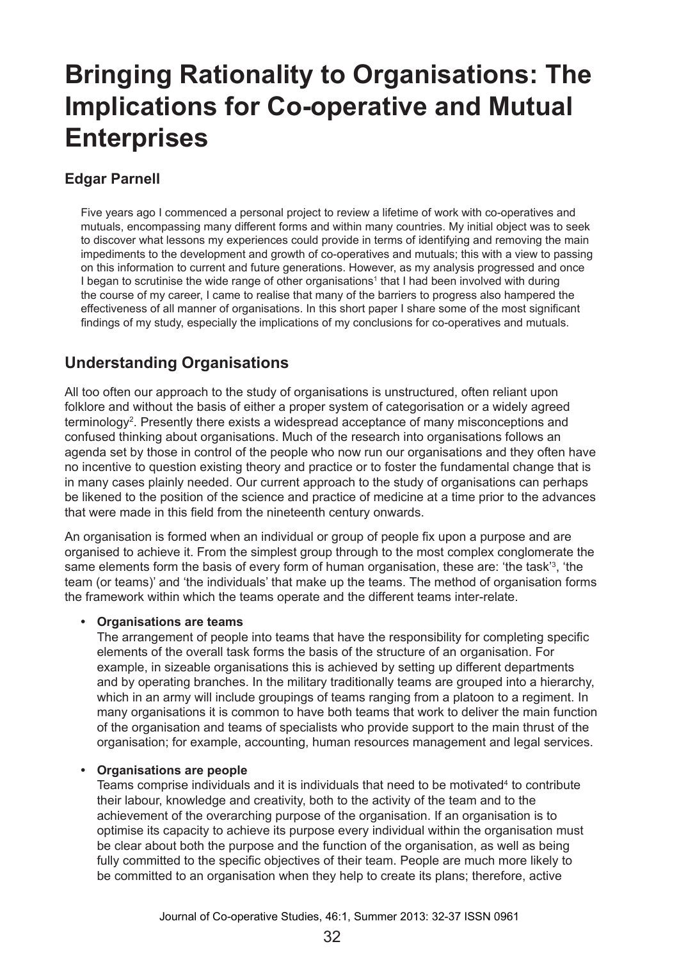# **Bringing Rationality to Organisations: The Implications for Co-operative and Mutual Enterprises**

### **Edgar Parnell**

Five years ago I commenced a personal project to review a lifetime of work with co-operatives and mutuals, encompassing many different forms and within many countries. My initial object was to seek to discover what lessons my experiences could provide in terms of identifying and removing the main impediments to the development and growth of co-operatives and mutuals; this with a view to passing on this information to current and future generations. However, as my analysis progressed and once I began to scrutinise the wide range of other organisations<sup>1</sup> that I had been involved with during the course of my career, I came to realise that many of the barriers to progress also hampered the effectiveness of all manner of organisations. In this short paper I share some of the most significant findings of my study, especially the implications of my conclusions for co-operatives and mutuals.

# **Understanding Organisations**

All too often our approach to the study of organisations is unstructured, often reliant upon folklore and without the basis of either a proper system of categorisation or a widely agreed terminology2 . Presently there exists a widespread acceptance of many misconceptions and confused thinking about organisations. Much of the research into organisations follows an agenda set by those in control of the people who now run our organisations and they often have no incentive to question existing theory and practice or to foster the fundamental change that is in many cases plainly needed. Our current approach to the study of organisations can perhaps be likened to the position of the science and practice of medicine at a time prior to the advances that were made in this field from the nineteenth century onwards.

An organisation is formed when an individual or group of people fix upon a purpose and are organised to achieve it. From the simplest group through to the most complex conglomerate the same elements form the basis of every form of human organisation, these are: 'the task'<sup>3</sup>, 'the team (or teams)' and 'the individuals' that make up the teams. The method of organisation forms the framework within which the teams operate and the different teams inter-relate.

#### **• Organisations are teams**

The arrangement of people into teams that have the responsibility for completing specific elements of the overall task forms the basis of the structure of an organisation. For example, in sizeable organisations this is achieved by setting up different departments and by operating branches. In the military traditionally teams are grouped into a hierarchy, which in an army will include groupings of teams ranging from a platoon to a regiment. In many organisations it is common to have both teams that work to deliver the main function of the organisation and teams of specialists who provide support to the main thrust of the organisation; for example, accounting, human resources management and legal services.

#### **• Organisations are people**

Teams comprise individuals and it is individuals that need to be motivated<sup>4</sup> to contribute their labour, knowledge and creativity, both to the activity of the team and to the achievement of the overarching purpose of the organisation. If an organisation is to optimise its capacity to achieve its purpose every individual within the organisation must be clear about both the purpose and the function of the organisation, as well as being fully committed to the specific objectives of their team. People are much more likely to be committed to an organisation when they help to create its plans; therefore, active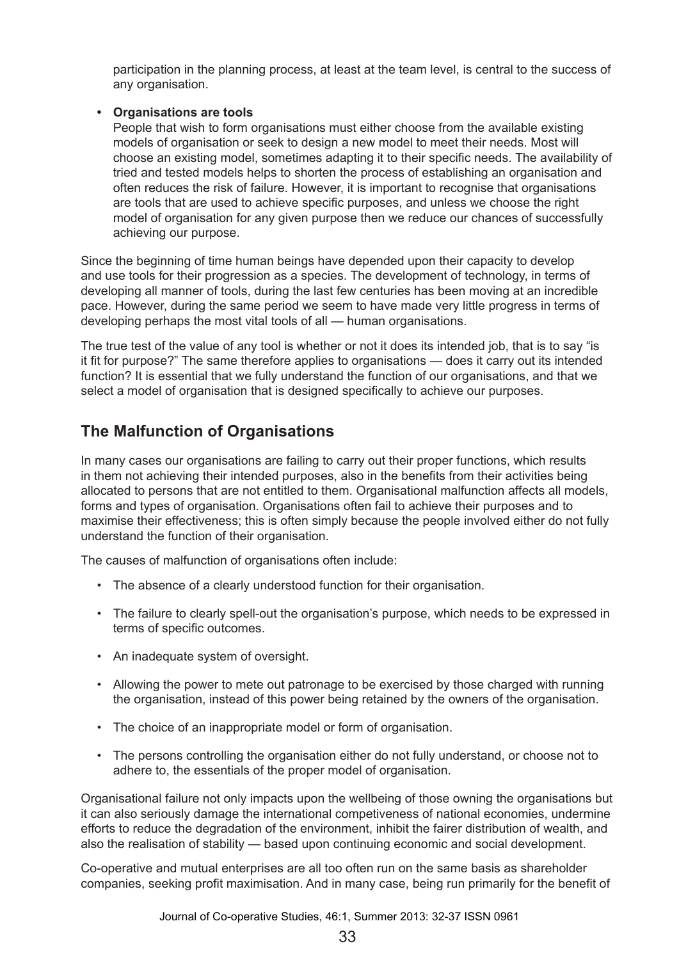participation in the planning process, at least at the team level, is central to the success of any organisation.

#### **• Organisations are tools**

People that wish to form organisations must either choose from the available existing models of organisation or seek to design a new model to meet their needs. Most will choose an existing model, sometimes adapting it to their specific needs. The availability of tried and tested models helps to shorten the process of establishing an organisation and often reduces the risk of failure. However, it is important to recognise that organisations are tools that are used to achieve specific purposes, and unless we choose the right model of organisation for any given purpose then we reduce our chances of successfully achieving our purpose.

Since the beginning of time human beings have depended upon their capacity to develop and use tools for their progression as a species. The development of technology, in terms of developing all manner of tools, during the last few centuries has been moving at an incredible pace. However, during the same period we seem to have made very little progress in terms of developing perhaps the most vital tools of all — human organisations.

The true test of the value of any tool is whether or not it does its intended job, that is to say "is it fit for purpose?" The same therefore applies to organisations — does it carry out its intended function? It is essential that we fully understand the function of our organisations, and that we select a model of organisation that is designed specifically to achieve our purposes.

### **The Malfunction of Organisations**

In many cases our organisations are failing to carry out their proper functions, which results in them not achieving their intended purposes, also in the benefits from their activities being allocated to persons that are not entitled to them. Organisational malfunction affects all models, forms and types of organisation. Organisations often fail to achieve their purposes and to maximise their effectiveness; this is often simply because the people involved either do not fully understand the function of their organisation.

The causes of malfunction of organisations often include:

- The absence of a clearly understood function for their organisation.
- The failure to clearly spell-out the organisation's purpose, which needs to be expressed in terms of specific outcomes.
- An inadequate system of oversight.
- Allowing the power to mete out patronage to be exercised by those charged with running the organisation, instead of this power being retained by the owners of the organisation.
- The choice of an inappropriate model or form of organisation.
- The persons controlling the organisation either do not fully understand, or choose not to adhere to, the essentials of the proper model of organisation.

Organisational failure not only impacts upon the wellbeing of those owning the organisations but it can also seriously damage the international competiveness of national economies, undermine efforts to reduce the degradation of the environment, inhibit the fairer distribution of wealth, and also the realisation of stability — based upon continuing economic and social development.

Co-operative and mutual enterprises are all too often run on the same basis as shareholder companies, seeking profit maximisation. And in many case, being run primarily for the benefit of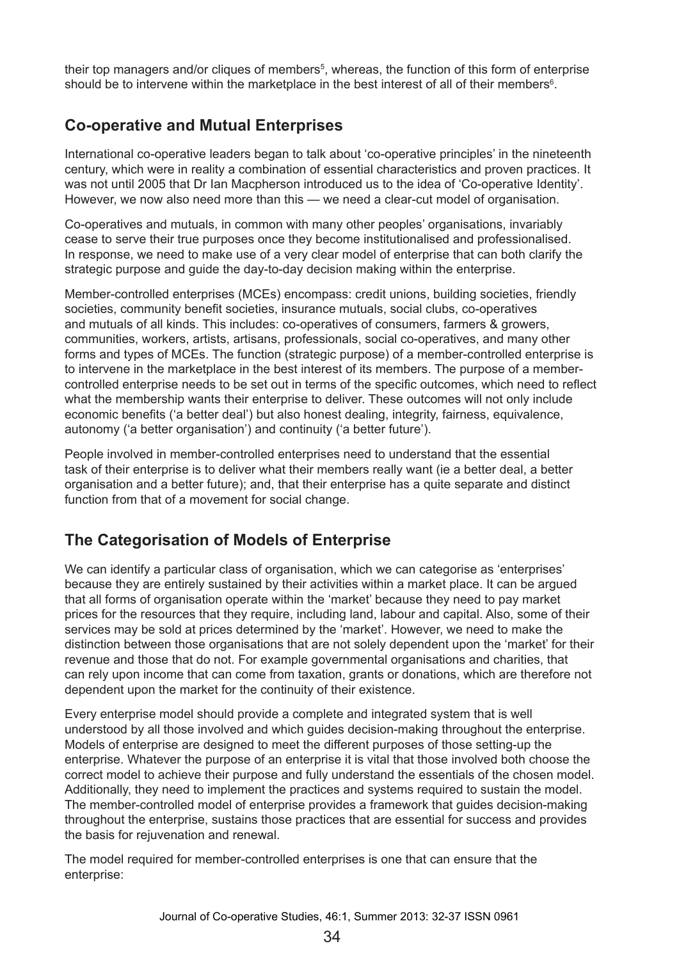their top managers and/or cliques of members<sup>5</sup>, whereas, the function of this form of enterprise should be to intervene within the marketplace in the best interest of all of their members $^\circ$ .

## **Co-operative and Mutual Enterprises**

International co-operative leaders began to talk about 'co-operative principles' in the nineteenth century, which were in reality a combination of essential characteristics and proven practices. It was not until 2005 that Dr Ian Macpherson introduced us to the idea of 'Co-operative Identity'. However, we now also need more than this — we need a clear-cut model of organisation.

Co-operatives and mutuals, in common with many other peoples' organisations, invariably cease to serve their true purposes once they become institutionalised and professionalised. In response, we need to make use of a very clear model of enterprise that can both clarify the strategic purpose and guide the day-to-day decision making within the enterprise.

Member-controlled enterprises (MCEs) encompass: credit unions, building societies, friendly societies, community benefit societies, insurance mutuals, social clubs, co-operatives and mutuals of all kinds. This includes: co-operatives of consumers, farmers & growers, communities, workers, artists, artisans, professionals, social co-operatives, and many other forms and types of MCEs. The function (strategic purpose) of a member-controlled enterprise is to intervene in the marketplace in the best interest of its members. The purpose of a membercontrolled enterprise needs to be set out in terms of the specific outcomes, which need to reflect what the membership wants their enterprise to deliver. These outcomes will not only include economic benefits ('a better deal') but also honest dealing, integrity, fairness, equivalence, autonomy ('a better organisation') and continuity ('a better future').

People involved in member-controlled enterprises need to understand that the essential task of their enterprise is to deliver what their members really want (ie a better deal, a better organisation and a better future); and, that their enterprise has a quite separate and distinct function from that of a movement for social change.

### **The Categorisation of Models of Enterprise**

We can identify a particular class of organisation, which we can categorise as 'enterprises' because they are entirely sustained by their activities within a market place. It can be argued that all forms of organisation operate within the 'market' because they need to pay market prices for the resources that they require, including land, labour and capital. Also, some of their services may be sold at prices determined by the 'market'. However, we need to make the distinction between those organisations that are not solely dependent upon the 'market' for their revenue and those that do not. For example governmental organisations and charities, that can rely upon income that can come from taxation, grants or donations, which are therefore not dependent upon the market for the continuity of their existence.

Every enterprise model should provide a complete and integrated system that is well understood by all those involved and which guides decision-making throughout the enterprise. Models of enterprise are designed to meet the different purposes of those setting-up the enterprise. Whatever the purpose of an enterprise it is vital that those involved both choose the correct model to achieve their purpose and fully understand the essentials of the chosen model. Additionally, they need to implement the practices and systems required to sustain the model. The member-controlled model of enterprise provides a framework that guides decision-making throughout the enterprise, sustains those practices that are essential for success and provides the basis for rejuvenation and renewal.

The model required for member-controlled enterprises is one that can ensure that the enterprise: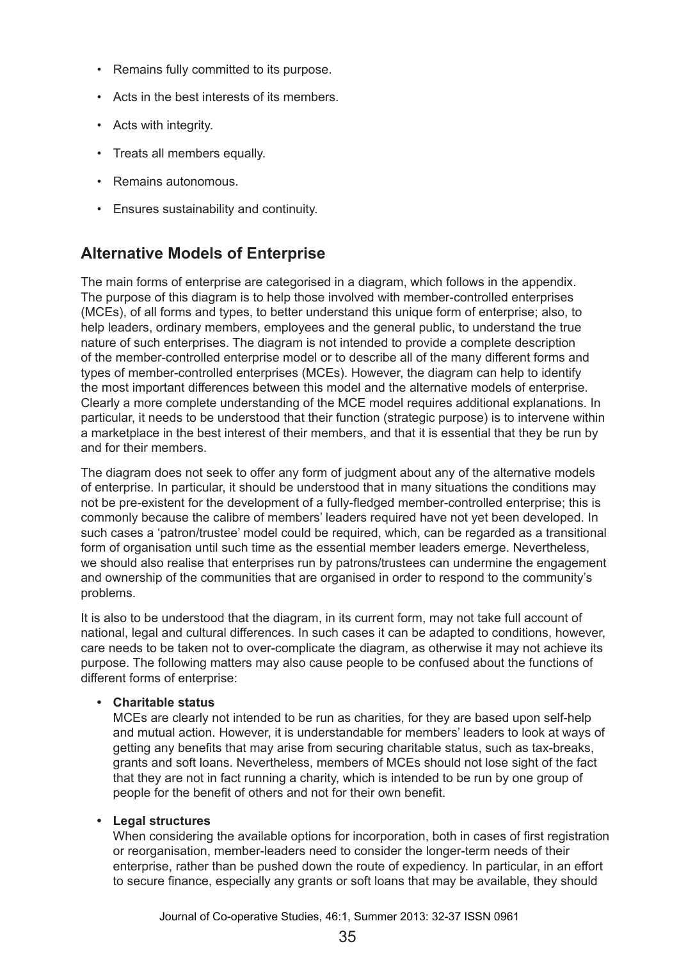- Remains fully committed to its purpose.
- Acts in the best interests of its members.
- Acts with integrity.
- Treats all members equally.
- Remains autonomous.
- Ensures sustainability and continuity.

### **Alternative Models of Enterprise**

The main forms of enterprise are categorised in a diagram, which follows in the appendix. The purpose of this diagram is to help those involved with member-controlled enterprises (MCEs), of all forms and types, to better understand this unique form of enterprise; also, to help leaders, ordinary members, employees and the general public, to understand the true nature of such enterprises. The diagram is not intended to provide a complete description of the member-controlled enterprise model or to describe all of the many different forms and types of member-controlled enterprises (MCEs). However, the diagram can help to identify the most important differences between this model and the alternative models of enterprise. Clearly a more complete understanding of the MCE model requires additional explanations. In particular, it needs to be understood that their function (strategic purpose) is to intervene within a marketplace in the best interest of their members, and that it is essential that they be run by and for their members.

The diagram does not seek to offer any form of judgment about any of the alternative models of enterprise. In particular, it should be understood that in many situations the conditions may not be pre-existent for the development of a fully-fledged member-controlled enterprise; this is commonly because the calibre of members' leaders required have not yet been developed. In such cases a 'patron/trustee' model could be required, which, can be regarded as a transitional form of organisation until such time as the essential member leaders emerge. Nevertheless, we should also realise that enterprises run by patrons/trustees can undermine the engagement and ownership of the communities that are organised in order to respond to the community's problems.

It is also to be understood that the diagram, in its current form, may not take full account of national, legal and cultural differences. In such cases it can be adapted to conditions, however, care needs to be taken not to over-complicate the diagram, as otherwise it may not achieve its purpose. The following matters may also cause people to be confused about the functions of different forms of enterprise:

#### **• Charitable status**

MCEs are clearly not intended to be run as charities, for they are based upon self-help and mutual action. However, it is understandable for members' leaders to look at ways of getting any benefits that may arise from securing charitable status, such as tax-breaks, grants and soft loans. Nevertheless, members of MCEs should not lose sight of the fact that they are not in fact running a charity, which is intended to be run by one group of people for the benefit of others and not for their own benefit.

#### **• Legal structures**

When considering the available options for incorporation, both in cases of first registration or reorganisation, member-leaders need to consider the longer-term needs of their enterprise, rather than be pushed down the route of expediency. In particular, in an effort to secure finance, especially any grants or soft loans that may be available, they should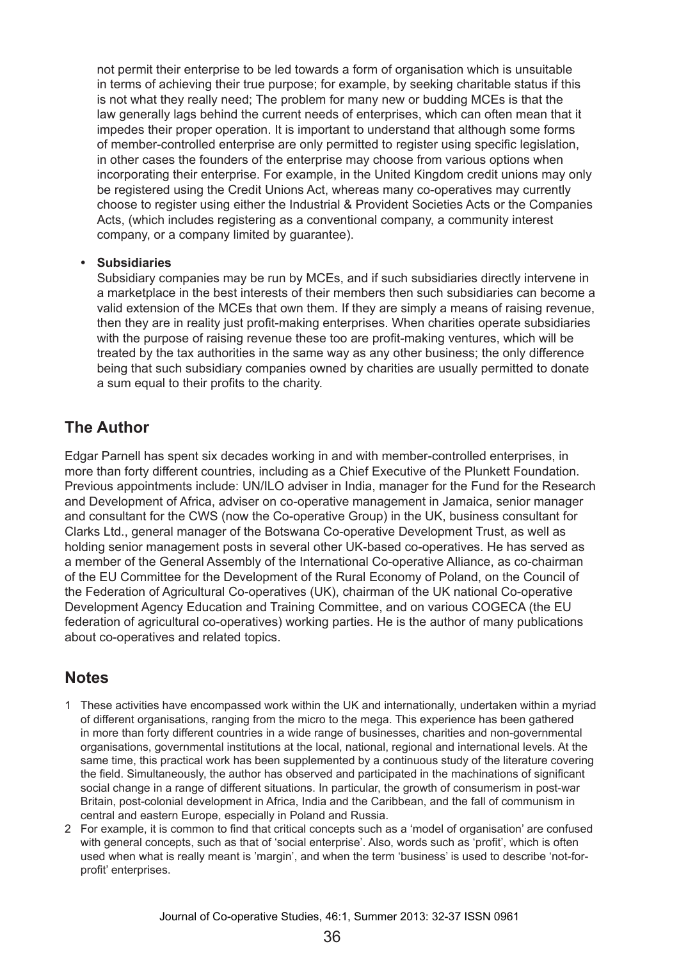not permit their enterprise to be led towards a form of organisation which is unsuitable in terms of achieving their true purpose; for example, by seeking charitable status if this is not what they really need; The problem for many new or budding MCEs is that the law generally lags behind the current needs of enterprises, which can often mean that it impedes their proper operation. It is important to understand that although some forms of member-controlled enterprise are only permitted to register using specific legislation, in other cases the founders of the enterprise may choose from various options when incorporating their enterprise. For example, in the United Kingdom credit unions may only be registered using the Credit Unions Act, whereas many co-operatives may currently choose to register using either the Industrial & Provident Societies Acts or the Companies Acts, (which includes registering as a conventional company, a community interest company, or a company limited by guarantee).

#### **• Subsidiaries**

Subsidiary companies may be run by MCEs, and if such subsidiaries directly intervene in a marketplace in the best interests of their members then such subsidiaries can become a valid extension of the MCEs that own them. If they are simply a means of raising revenue, then they are in reality just profit-making enterprises. When charities operate subsidiaries with the purpose of raising revenue these too are profit-making ventures, which will be treated by the tax authorities in the same way as any other business; the only difference being that such subsidiary companies owned by charities are usually permitted to donate a sum equal to their profits to the charity.

### **The Author**

Edgar Parnell has spent six decades working in and with member-controlled enterprises, in more than forty different countries, including as a Chief Executive of the Plunkett Foundation. Previous appointments include: UN/ILO adviser in India, manager for the Fund for the Research and Development of Africa, adviser on co-operative management in Jamaica, senior manager and consultant for the CWS (now the Co-operative Group) in the UK, business consultant for Clarks Ltd., general manager of the Botswana Co-operative Development Trust, as well as holding senior management posts in several other UK-based co-operatives. He has served as a member of the General Assembly of the International Co-operative Alliance, as co-chairman of the EU Committee for the Development of the Rural Economy of Poland, on the Council of the Federation of Agricultural Co-operatives (UK), chairman of the UK national Co-operative Development Agency Education and Training Committee, and on various COGECA (the EU federation of agricultural co-operatives) working parties. He is the author of many publications about co-operatives and related topics.

### **Notes**

- 1 These activities have encompassed work within the UK and internationally, undertaken within a myriad of different organisations, ranging from the micro to the mega. This experience has been gathered in more than forty different countries in a wide range of businesses, charities and non-governmental organisations, governmental institutions at the local, national, regional and international levels. At the same time, this practical work has been supplemented by a continuous study of the literature covering the field. Simultaneously, the author has observed and participated in the machinations of significant social change in a range of different situations. In particular, the growth of consumerism in post-war Britain, post-colonial development in Africa, India and the Caribbean, and the fall of communism in central and eastern Europe, especially in Poland and Russia.
- 2 For example, it is common to find that critical concepts such as a 'model of organisation' are confused with general concepts, such as that of 'social enterprise'. Also, words such as 'profit', which is often used when what is really meant is 'margin', and when the term 'business' is used to describe 'not-forprofit' enterprises.